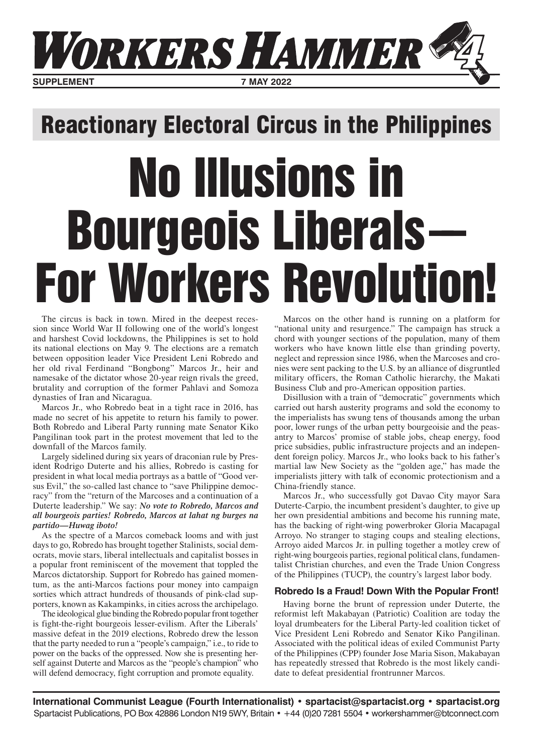

## Reactionary Electoral Circus in the Philippines

# No Illusions in Bourgeois Liberals–– For Workers Revolution!

The circus is back in town. Mired in the deepest recession since World War II following one of the world's longest and harshest Covid lockdowns, the Philippines is set to hold its national elections on May 9. The elections are a rematch between opposition leader Vice President Leni Robredo and her old rival Ferdinand "Bongbong" Marcos Jr., heir and namesake of the dictator whose 20-year reign rivals the greed, brutality and corruption of the former Pahlavi and Somoza dynasties of Iran and Nicaragua.

Marcos Jr., who Robredo beat in a tight race in 2016, has made no secret of his appetite to return his family to power. Both Robredo and Liberal Party running mate Senator Kiko Pangilinan took part in the protest movement that led to the downfall of the Marcos family.

Largely sidelined during six years of draconian rule by President Rodrigo Duterte and his allies, Robredo is casting for president in what local media portrays as a battle of "Good versus Evil," the so-called last chance to "save Philippine democracy" from the "return of the Marcoses and a continuation of a Duterte leadership." We say: *No vote to Robredo, Marcos and all bourgeois parties! Robredo, Marcos at lahat ng burges na partido—Huwag iboto!*

As the spectre of a Marcos comeback looms and with just days to go, Robredo has brought together Stalinists, social democrats, movie stars, liberal intellectuals and capitalist bosses in a popular front reminiscent of the movement that toppled the Marcos dictatorship. Support for Robredo has gained momentum, as the anti-Marcos factions pour money into campaign sorties which attract hundreds of thousands of pink-clad supporters, known as Kakampinks, in cities across the archipelago.

The ideological glue binding the Robredo popular front together is fight-the-right bourgeois lesser-evilism. After the Liberals' massive defeat in the 2019 elections, Robredo drew the lesson that the party needed to run a "people's campaign," i.e., to ride to power on the backs of the oppressed. Now she is presenting herself against Duterte and Marcos as the "people's champion" who will defend democracy, fight corruption and promote equality.

Marcos on the other hand is running on a platform for "national unity and resurgence." The campaign has struck a chord with younger sections of the population, many of them workers who have known little else than grinding poverty, neglect and repression since 1986, when the Marcoses and cronies were sent packing to the U.S. by an alliance of disgruntled military officers, the Roman Catholic hierarchy, the Makati Business Club and pro-American opposition parties.

Disillusion with a train of "democratic" governments which carried out harsh austerity programs and sold the economy to the imperialists has swung tens of thousands among the urban poor, lower rungs of the urban petty bourgeoisie and the peasantry to Marcos' promise of stable jobs, cheap energy, food price subsidies, public infrastructure projects and an independent foreign policy. Marcos Jr., who looks back to his father's martial law New Society as the "golden age," has made the imperialists jittery with talk of economic protectionism and a China-friendly stance.

Marcos Jr., who successfully got Davao City mayor Sara Duterte-Carpio, the incumbent president's daughter, to give up her own presidential ambitions and become his running mate, has the backing of right-wing powerbroker Gloria Macapagal Arroyo. No stranger to staging coups and stealing elections, Arroyo aided Marcos Jr. in pulling together a motley crew of right-wing bourgeois parties, regional political clans, fundamentalist Christian churches, and even the Trade Union Congress of the Philippines (TUCP), the country's largest labor body.

### **Robredo Is a Fraud! Down With the Popular Front!**

Having borne the brunt of repression under Duterte, the reformist left Makabayan (Patriotic) Coalition are today the loyal drumbeaters for the Liberal Party-led coalition ticket of Vice President Leni Robredo and Senator Kiko Pangilinan. Associated with the political ideas of exiled Communist Party of the Philippines (CPP) founder Jose Maria Sison, Makabayan has repeatedly stressed that Robredo is the most likely candidate to defeat presidential frontrunner Marcos.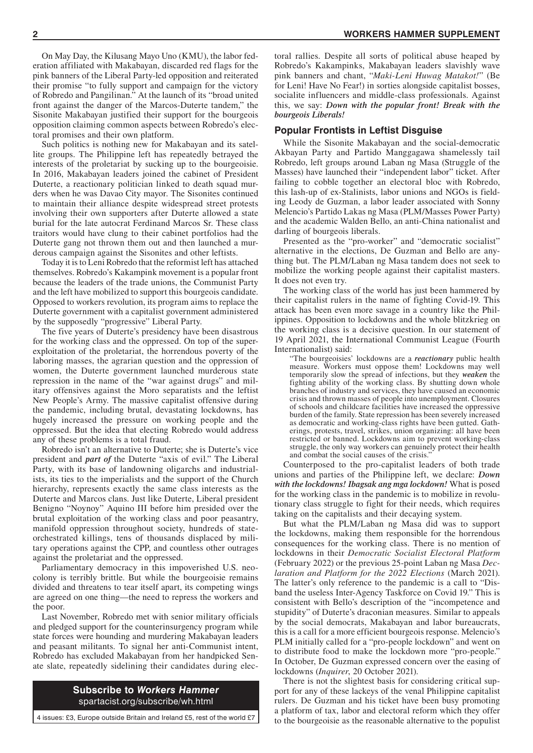On May Day, the Kilusang Mayo Uno (KMU), the labor federation affiliated with Makabayan, discarded red flags for the pink banners of the Liberal Party-led opposition and reiterated their promise "to fully support and campaign for the victory of Robredo and Pangilinan." At the launch of its "broad united front against the danger of the Marcos-Duterte tandem," the Sisonite Makabayan justified their support for the bourgeois opposition claiming common aspects between Robredo's electoral promises and their own platform.

Such politics is nothing new for Makabayan and its satellite groups. The Philippine left has repeatedly betrayed the interests of the proletariat by sucking up to the bourgeoisie. In 2016, Makabayan leaders joined the cabinet of President Duterte, a reactionary politician linked to death squad murders when he was Davao City mayor. The Sisonites continued to maintain their alliance despite widespread street protests involving their own supporters after Duterte allowed a state burial for the late autocrat Ferdinand Marcos Sr. These class traitors would have clung to their cabinet portfolios had the Duterte gang not thrown them out and then launched a murderous campaign against the Sisonites and other leftists.

Today it is to Leni Robredo that the reformist left has attached themselves. Robredo's Kakampink movement is a popular front because the leaders of the trade unions, the Communist Party and the left have mobilized to support this bourgeois candidate. Opposed to workers revolution, its program aims to replace the Duterte government with a capitalist government administered by the supposedly "progressive" Liberal Party.

The five years of Duterte's presidency have been disastrous for the working class and the oppressed. On top of the superexploitation of the proletariat, the horrendous poverty of the laboring masses, the agrarian question and the oppression of women, the Duterte government launched murderous state repression in the name of the "war against drugs" and military offensives against the Moro separatists and the leftist New People's Army. The massive capitalist offensive during the pandemic, including brutal, devastating lockdowns, has hugely increased the pressure on working people and the oppressed. But the idea that electing Robredo would address any of these problems is a total fraud.

Robredo isn't an alternative to Duterte; she is Duterte's vice president and *part of* the Duterte "axis of evil." The Liberal Party, with its base of landowning oligarchs and industrialists, its ties to the imperialists and the support of the Church hierarchy, represents exactly the same class interests as the Duterte and Marcos clans. Just like Duterte, Liberal president Benigno "Noynoy" Aquino III before him presided over the brutal exploitation of the working class and poor peasantry, manifold oppression throughout society, hundreds of stateorchestrated killings, tens of thousands displaced by military operations against the CPP, and countless other outrages against the proletariat and the oppressed.

Parliamentary democracy in this impoverished U.S. neocolony is terribly brittle. But while the bourgeoisie remains divided and threatens to tear itself apart, its competing wings are agreed on one thing—the need to repress the workers and the poor.

Last November, Robredo met with senior military officials and pledged support for the counterinsurgency program while state forces were hounding and murdering Makabayan leaders and peasant militants. To signal her anti-Communist intent, Robredo has excluded Makabayan from her handpicked Senate slate, repeatedly sidelining their candidates during elec-

> **Subscribe to** *Workers Hammer* spartacist.org/subscribe/wh.html

toral rallies. Despite all sorts of political abuse heaped by Robredo's Kakampinks, Makabayan leaders slavishly wave pink banners and chant, "*Maki-Leni Huwag Matakot!*" (Be for Leni! Have No Fear!) in sorties alongside capitalist bosses, socialite influencers and middle-class professionals. Against this, we say: *Down with the popular front! Break with the bourgeois Liberals!*

#### **Popular Frontists in Leftist Disguise**

While the Sisonite Makabayan and the social-democratic Akbayan Party and Partido Manggagawa shamelessly tail Robredo, left groups around Laban ng Masa (Struggle of the Masses) have launched their "independent labor" ticket. After failing to cobble together an electoral bloc with Robredo, this lash-up of ex-Stalinists, labor unions and NGOs is fielding Leody de Guzman, a labor leader associated with Sonny Melencio's Partido Lakas ng Masa (PLM/Masses Power Party) and the academic Walden Bello, an anti-China nationalist and darling of bourgeois liberals.

Presented as the "pro-worker" and "democratic socialist" alternative in the elections, De Guzman and Bello are anything but. The PLM/Laban ng Masa tandem does not seek to mobilize the working people against their capitalist masters. It does not even try.

The working class of the world has just been hammered by their capitalist rulers in the name of fighting Covid-19. This attack has been even more savage in a country like the Philippines. Opposition to lockdowns and the whole blitzkrieg on the working class is a decisive question. In our statement of 19 April 2021, the International Communist League (Fourth Internationalist) said:

"The bourgeoisies' lockdowns are a *reactionary* public health measure. Workers must oppose them! Lockdowns may well temporarily slow the spread of infections, but they *weaken* the fighting ability of the working class. By shutting down whole branches of industry and services, they have caused an economic crisis and thrown masses of people into unemployment. Closures of schools and childcare facilities have increased the oppressive burden of the family. State repression has been severely increased as democratic and working-class rights have been gutted. Gatherings, protests, travel, strikes, union organizing: all have been restricted or banned. Lockdowns aim to prevent working-class struggle, the only way workers can genuinely protect their health and combat the social causes of the crisis."

Counterposed to the pro-capitalist leaders of both trade unions and parties of the Philippine left, we declare: *Down with the lockdowns! Ibagsak ang mga lockdown!* What is posed for the working class in the pandemic is to mobilize in revolutionary class struggle to fight for their needs, which requires taking on the capitalists and their decaying system.

But what the PLM/Laban ng Masa did was to support the lockdowns, making them responsible for the horrendous consequences for the working class. There is no mention of lockdowns in their *Democratic Socialist Electoral Platform*  (February 2022) or the previous 25-point Laban ng Masa *Declaration and Platform for the 2022 Elections* (March 2021). The latter's only reference to the pandemic is a call to "Disband the useless Inter-Agency Taskforce on Covid 19." This is consistent with Bello's description of the "incompetence and stupidity" of Duterte's draconian measures. Similar to appeals by the social democrats, Makabayan and labor bureaucrats, this is a call for a more efficient bourgeois response. Melencio's PLM initially called for a "pro-people lockdown" and went on to distribute food to make the lockdown more "pro-people." In October, De Guzman expressed concern over the easing of lockdowns (*Inquirer*, 20 October 2021).

There is not the slightest basis for considering critical support for any of these lackeys of the venal Philippine capitalist rulers. De Guzman and his ticket have been busy promoting a platform of tax, labor and electoral reform which they offer 4 issues: £3, Europe outside Britain and Ireland £5, rest of the world £7 to the bourgeoisie as the reasonable alternative to the populist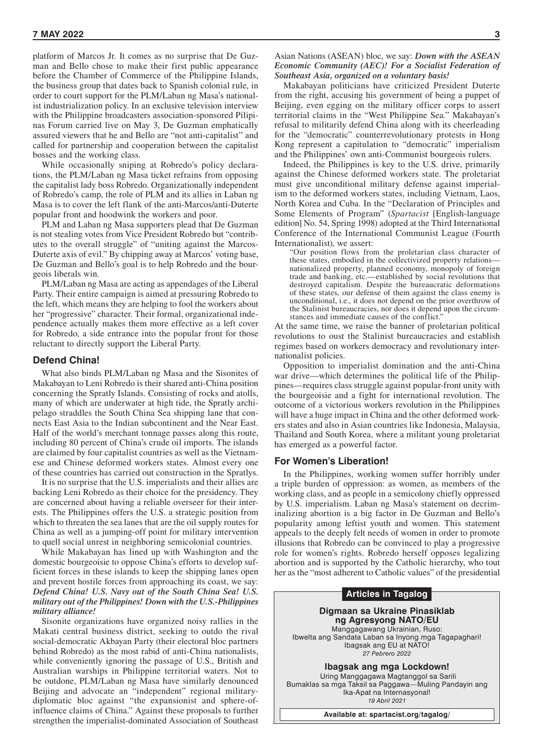platform of Marcos Jr. It comes as no surprise that De Guzman and Bello chose to make their first public appearance before the Chamber of Commerce of the Philippine Islands, the business group that dates back to Spanish colonial rule, in order to court support for the PLM/Laban ng Masa's nationalist industrialization policy. In an exclusive television interview with the Philippine broadcasters association-sponsored Pilipinas Forum carried live on May 3, De Guzman emphatically assured viewers that he and Bello are "not anti-capitalist" and called for partnership and cooperation between the capitalist bosses and the working class.

While occasionally sniping at Robredo's policy declarations, the PLM/Laban ng Masa ticket refrains from opposing the capitalist lady boss Robredo. Organizationally independent of Robredo's camp, the role of PLM and its allies in Laban ng Masa is to cover the left flank of the anti-Marcos/anti-Duterte popular front and hoodwink the workers and poor.

PLM and Laban ng Masa supporters plead that De Guzman is not stealing votes from Vice President Robredo but "contributes to the overall struggle" of "uniting against the Marcos-Duterte axis of evil." By chipping away at Marcos' voting base, De Guzman and Bello's goal is to help Robredo and the bourgeois liberals win.

PLM/Laban ng Masa are acting as appendages of the Liberal Party. Their entire campaign is aimed at pressuring Robredo to the left, which means they are helping to fool the workers about her "progressive" character. Their formal, organizational independence actually makes them more effective as a left cover for Robredo, a side entrance into the popular front for those reluctant to directly support the Liberal Party.

#### **Defend China!**

What also binds PLM/Laban ng Masa and the Sisonites of Makabayan to Leni Robredo is their shared anti-China position concerning the Spratly Islands. Consisting of rocks and atolls, many of which are underwater at high tide, the Spratly archipelago straddles the South China Sea shipping lane that connects East Asia to the Indian subcontinent and the Near East. Half of the world's merchant tonnage passes along this route, including 80 percent of China's crude oil imports. The islands are claimed by four capitalist countries as well as the Vietnamese and Chinese deformed workers states. Almost every one of these countries has carried out construction in the Spratlys.

It is no surprise that the U.S. imperialists and their allies are backing Leni Robredo as their choice for the presidency. They are concerned about having a reliable overseer for their interests. The Philippines offers the U.S. a strategic position from which to threaten the sea lanes that are the oil supply routes for China as well as a jumping-off point for military intervention to quell social unrest in neighboring semicolonial countries.

While Makabayan has lined up with Washington and the domestic bourgeoisie to oppose China's efforts to develop sufficient forces in these islands to keep the shipping lanes open and prevent hostile forces from approaching its coast, we say: *Defend China! U.S. Navy out of the South China Sea! U.S. military out of the Philippines! Down with the U.S.-Philippines military alliance!*

Sisonite organizations have organized noisy rallies in the Makati central business district, seeking to outdo the rival social-democratic Akbayan Party (their electoral bloc partners behind Robredo) as the most rabid of anti-China nationalists, while conveniently ignoring the passage of U.S., British and Australian warships in Philippine territorial waters. Not to be outdone, PLM/Laban ng Masa have similarly denounced Beijing and advocate an "independent" regional militarydiplomatic bloc against "the expansionist and sphere-ofinfluence claims of China." Against these proposals to further strengthen the imperialist-dominated Association of Southeast

Asian Nations (ASEAN) bloc, we say: *Down with the ASEAN Economic Community (AEC)! For a Socialist Federation of Southeast Asia, organized on a voluntary basis!*

Makabayan politicians have criticized President Duterte from the right, accusing his government of being a puppet of Beijing, even egging on the military officer corps to assert territorial claims in the "West Philippine Sea." Makabayan's refusal to militarily defend China along with its cheerleading for the "democratic" counterrevolutionary protests in Hong Kong represent a capitulation to "democratic" imperialism and the Philippines' own anti-Communist bourgeois rulers.

Indeed, the Philippines is key to the U.S. drive, primarily against the Chinese deformed workers state. The proletariat must give unconditional military defense against imperialism to the deformed workers states, including Vietnam, Laos, North Korea and Cuba. In the "Declaration of Principles and Some Elements of Program" (*Spartacist* [English-language edition] No. 54, Spring 1998) adopted at the Third International Conference of the International Communist League (Fourth Internationalist), we assert:

"Our position flows from the proletarian class character of these states, embodied in the collectivized property relations nationalized property, planned economy, monopoly of foreign trade and banking, etc.—established by social revolutions that destroyed capitalism. Despite the bureaucratic deformations of these states, our defense of them against the class enemy is unconditional, i.e., it does not depend on the prior overthrow of the Stalinist bureaucracies, nor does it depend upon the circumstances and immediate causes of the conflict."

At the same time, we raise the banner of proletarian political revolutions to oust the Stalinist bureaucracies and establish regimes based on workers democracy and revolutionary internationalist policies.

Opposition to imperialist domination and the anti-China war drive—which determines the political life of the Philippines—requires class struggle against popular-front unity with the bourgeoisie and a fight for international revolution. The outcome of a victorious workers revolution in the Philippines will have a huge impact in China and the other deformed workers states and also in Asian countries like Indonesia, Malaysia, Thailand and South Korea, where a militant young proletariat has emerged as a powerful factor.

#### **For Women's Liberation!**

In the Philippines, working women suffer horribly under a triple burden of oppression: as women, as members of the working class, and as people in a semicolony chiefly oppressed by U.S. imperialism. Laban ng Masa's statement on decriminalizing abortion is a big factor in De Guzman and Bello's popularity among leftist youth and women. This statement appeals to the deeply felt needs of women in order to promote illusions that Robredo can be convinced to play a progressive role for women's rights. Robredo herself opposes legalizing abortion and is supported by the Catholic hierarchy, who tout her as the "most adherent to Catholic values" of the presidential